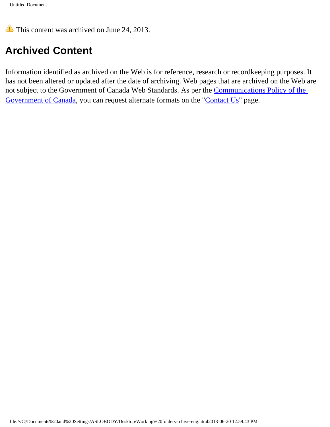This content was archived on June 24, 2013.

# **Archived Content**

Information identified as archived on the Web is for reference, research or recordkeeping purposes. It has not been altered or updated after the date of archiving. Web pages that are archived on the Web are not subject to the Government of Canada Web Standards. As per the [Communications Policy of the](http://www.tbs-sct.gc.ca/pol/doc-eng.aspx?id=12316§ion=text)  [Government of Canada,](http://www.tbs-sct.gc.ca/pol/doc-eng.aspx?id=12316§ion=text) you can request alternate formats on the "[Contact Us](http://www.hc-sc.gc.ca/contact/index-eng.php)" page.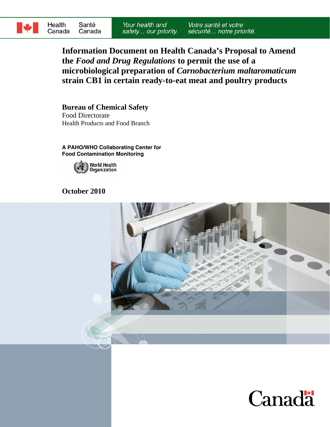

**Information Document on Health Canada's Proposal to Amend the** *Food and Drug Regulations* **to permit the use of a microbiological preparation of** *Carnobacterium maltaromaticum* **strain CB1 in certain ready-to-eat meat and poultry products** 

**Bureau of Chemical Safety**  Food Directorate Health Products and Food Branch

**A PAHO/WHO Collaborating Center for Food Contamination Monitoring** 



# **October 2010**



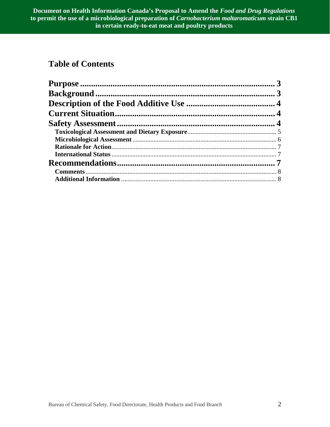# **Table of Contents**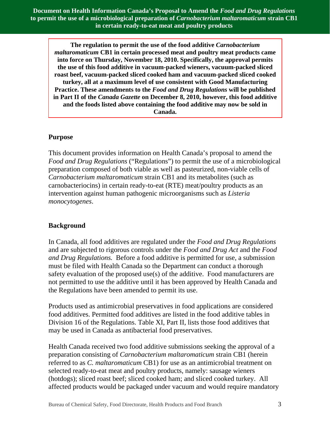**Document on Health Information Canada's Proposal to Amend the** *Food and Drug Regulations*  **to permit the use of a microbiological preparation of** *Carnobacterium maltaromaticum* **strain CB1 in certain ready-to-eat meat and poultry products** 

**The regulation to permit the use of the food additive** *Carnobacterium maltaromaticum* **CB1 in certain processed meat and poultry meat products came into force on Thursday, November 18, 2010. Specifically, the approval permits the use of this food additive in vacuum-packed wieners, vacuum-packed sliced roast beef, vacuum-packed sliced cooked ham and vacuum-packed sliced cooked turkey, all at a maximum level of use consistent with Good Manufacturing Practice. These amendments to the** *Food and Drug Regulations* **will be published in Part II of the** *Canada Gazette* **on December 8, 2010, however, this food additive and the foods listed above containing the food additive may now be sold in Canada.**

#### **Purpose**

This document provides information on Health Canada's proposal to amend the *Food and Drug Regulations* ("Regulations") to permit the use of a microbiological preparation composed of both viable as well as pasteurized, non-viable cells of *Carnobacterium maltaromaticum* strain CB1 and its metabolites (such as carnobacteriocins) in certain ready-to-eat (RTE) meat/poultry products as an intervention against human pathogenic microorganisms such as *Listeria monocytogenes*.

#### **Background**

In Canada, all food additives are regulated under the *Food and Drug Regulations* and are subjected to rigorous controls under the *Food and Drug Act* and the *Food and Drug Regulations.* Before a food additive is permitted for use, a submission must be filed with Health Canada so the Department can conduct a thorough safety evaluation of the proposed use(s) of the additive. Food manufacturers are not permitted to use the additive until it has been approved by Health Canada and the Regulations have been amended to permit its use.

Products used as antimicrobial preservatives in food applications are considered food additives. Permitted food additives are listed in the food additive tables in Division 16 of the Regulations. Table XI, Part II, lists those food additives that may be used in Canada as antibacterial food preservatives.

Health Canada received two food additive submissions seeking the approval of a preparation consisting of *Carnobacterium maltaromaticum* strain CB1 (herein referred to as *C. maltaromaticum* CB1) for use as an antimicrobial treatment on selected ready-to-eat meat and poultry products, namely: sausage wieners (hotdogs); sliced roast beef; sliced cooked ham; and sliced cooked turkey. All affected products would be packaged under vacuum and would require mandatory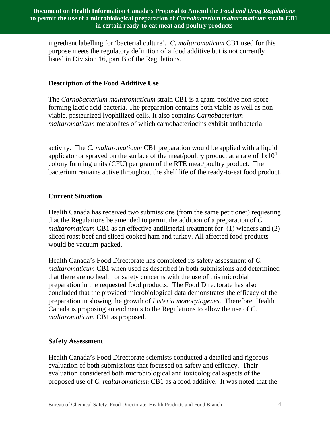ingredient labelling for 'bacterial culture'. *C. maltaromaticum* CB1 used for this purpose meets the regulatory definition of a food additive but is not currently listed in Division 16, part B of the Regulations.

## **Description of the Food Additive Use**

The *Carnobacterium maltaromaticum* strain CB1 is a gram-positive non sporeforming lactic acid bacteria. The preparation contains both viable as well as nonviable, pasteurized lyophilized cells. It also contains *Carnobacterium maltaromaticum* metabolites of which carnobacteriocins exhibit antibacterial

activity. The *C. maltaromaticum* CB1 preparation would be applied with a liquid applicator or sprayed on the surface of the meat/poultry product at a rate of  $1x10<sup>4</sup>$ colony forming units (CFU) per gram of the RTE meat/poultry product. The bacterium remains active throughout the shelf life of the ready-to-eat food product.

#### **Current Situation**

Health Canada has received two submissions (from the same petitioner) requesting that the Regulations be amended to permit the addition of a preparation of *C. maltaromaticum* CB1 as an effective antilisterial treatment for (1) wieners and (2) sliced roast beef and sliced cooked ham and turkey. All affected food products would be vacuum-packed.

Health Canada's Food Directorate has completed its safety assessment of *C. maltaromaticum* CB1 when used as described in both submissions and determined that there are no health or safety concerns with the use of this microbial preparation in the requested food products. The Food Directorate has also concluded that the provided microbiological data demonstrates the efficacy of the preparation in slowing the growth of *Listeria monocytogenes*. Therefore, Health Canada is proposing amendments to the Regulations to allow the use of *C. maltaromaticum* CB1 as proposed.

#### **Safety Assessment**

Health Canada's Food Directorate scientists conducted a detailed and rigorous evaluation of both submissions that focussed on safety and efficacy. Their evaluation considered both microbiological and toxicological aspects of the proposed use of *C. maltaromaticum* CB1 as a food additive. It was noted that the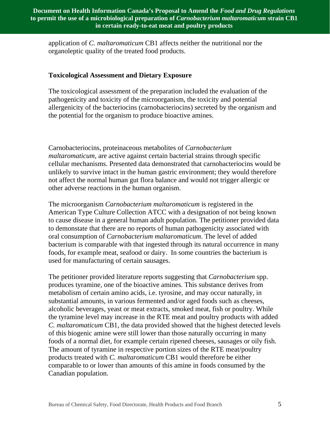application of *C. maltaromaticum* CB1 affects neither the nutritional nor the organoleptic quality of the treated food products.

#### **Toxicological Assessment and Dietary Exposure**

The toxicological assessment of the preparation included the evaluation of the pathogenicity and toxicity of the microorganism, the toxicity and potential allergenicity of the bacteriocins (carnobacteriocins) secreted by the organism and the potential for the organism to produce bioactive amines.

Carnobacteriocins, proteinaceous metabolites of *Carnobacterium maltaromaticum,* are active against certain bacterial strains through specific cellular mechanisms. Presented data demonstrated that carnobacteriocins would be unlikely to survive intact in the human gastric environment; they would therefore not affect the normal human gut flora balance and would not trigger allergic or other adverse reactions in the human organism.

The microorganism *Carnobacterium maltaromaticum* is registered in the American Type Culture Collection ATCC with a designation of not being known to cause disease in a general human adult population. The petitioner provided data to demonstate that there are no reports of human pathogenicity associated with oral consumption of *Carnobacterium maltaromaticum*. The level of added bacterium is comparable with that ingested through its natural occurrence in many foods, for example meat, seafood or dairy. In some countries the bacterium is used for manufacturing of certain sausages.

The petitioner provided literature reports suggesting that *Carnobacterium* spp. produces tyramine, one of the bioactive amines. This substance derives from metabolism of certain amino acids, i.e. tyrosine, and may occur naturally, in substantial amounts, in various fermented and/or aged foods such as cheeses, alcoholic beverages, yeast or meat extracts, smoked meat, fish or poultry. While the tyramine level may increase in the RTE meat and poultry products with added *C. maltaromaticum* CB1, the data provided showed that the highest detected levels of this biogenic amine were still lower than those naturally occurring in many foods of a normal diet, for example certain ripened cheeses, sausages or oily fish. The amount of tyramine in respective portion sizes of the RTE meat/poultry products treated with *C. maltaromaticum* CB1 would therefore be either comparable to or lower than amounts of this amine in foods consumed by the Canadian population.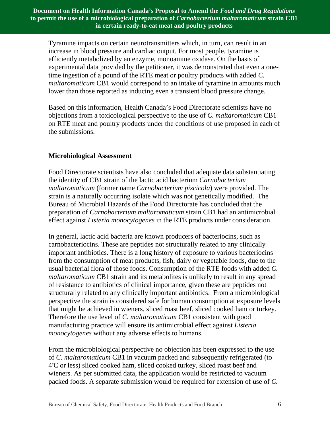Tyramine impacts on certain neurotransmitters which, in turn, can result in an increase in blood pressure and cardiac output. For most people, tyramine is efficiently metabolized by an enzyme, monoamine oxidase. On the basis of experimental data provided by the petitioner, it was demonstrated that even a onetime ingestion of a pound of the RTE meat or poultry products with added *C. maltaromaticum* CB1 would correspond to an intake of tyramine in amounts much lower than those reported as inducing even a transient blood pressure change.

Based on this information, Health Canada's Food Directorate scientists have no objections from a toxicological perspective to the use of *C. maltaromaticum* CB1 on RTE meat and poultry products under the conditions of use proposed in each of the submissions.

#### **Microbiological Assessment**

Food Directorate scientists have also concluded that adequate data substantiating the identity of CB1 strain of the lactic acid bacterium *Carnobacterium maltaromaticum* (former name *Carnobacterium piscicola*) were provided. The strain is a naturally occurring isolate which was not genetically modified. The Bureau of Microbial Hazards of the Food Directorate has concluded that the preparation of *Carnobacterium maltaromaticum* strain CB1 had an antimicrobial effect against *Listeria monocytogenes* in the RTE products under consideration.

In general, lactic acid bacteria are known producers of bacteriocins, such as carnobacteriocins. These are peptides not structurally related to any clinically important antibiotics. There is a long history of exposure to various bacteriocins from the consumption of meat products, fish, dairy or vegetable foods, due to the usual bacterial flora of those foods. Consumption of the RTE foods with added *C. maltaromaticum* CB1 strain and its metabolites is unlikely to result in any spread of resistance to antibiotics of clinical importance, given these are peptides not structurally related to any clinically important antibiotics. From a microbiological perspective the strain is considered safe for human consumption at exposure levels that might be achieved in wieners, sliced roast beef, sliced cooked ham or turkey. Therefore the use level of *C. maltaromaticum* CB1 consistent with good manufacturing practice will ensure its antimicrobial effect against *Listeria monocytogenes* without any adverse effects to humans.

From the microbiological perspective no objection has been expressed to the use of *C. maltaromaticum* CB1 in vacuum packed and subsequently refrigerated (to 4) C or less) sliced cooked ham, sliced cooked turkey, sliced roast beef and wieners. As per submitted data, the application would be restricted to vacuum packed foods. A separate submission would be required for extension of use of *C.*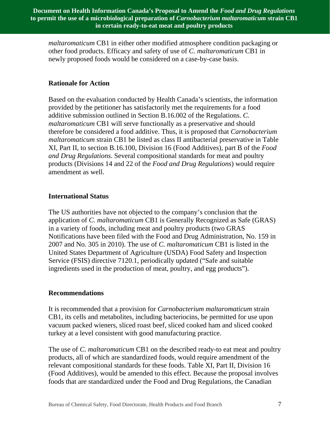*maltaromaticum* CB1 in either other modified atmosphere condition packaging or other food products. Efficacy and safety of use of *C. maltaromaticum* CB1 in newly proposed foods would be considered on a case-by-case basis.

#### **Rationale for Action**

Based on the evaluation conducted by Health Canada's scientists, the information provided by the petitioner has satisfactorily met the requirements for a food additive submission outlined in Section B.16.002 of the Regulations. *C. maltaromaticum* CB1 will serve functionally as a preservative and should therefore be considered a food additive. Thus, it is proposed that *Carnobacterium maltaromaticum* strain CB1 be listed as class II antibacterial preservative in Table XI, Part II, to section B.16.100, Division 16 (Food Additives), part B of the *Food and Drug Regulations*. Several compositional standards for meat and poultry products (Divisions 14 and 22 of the *Food and Drug Regulations*) would require amendment as well.

## **International Status**

The US authorities have not objected to the company's conclusion that the application of *C. maltaromaticum* CB1 is Generally Recognized as Safe (GRAS) in a variety of foods, including meat and poultry products (two GRAS Notifications have been filed with the Food and Drug Administration, No. 159 in 2007 and No. 305 in 2010). The use of *C. maltaromaticum* CB1 is listed in the United States Department of Agriculture (USDA) Food Safety and Inspection Service (FSIS) directive 7120.1, periodically updated ("Safe and suitable ingredients used in the production of meat, poultry, and egg products").

#### **Recommendations**

It is recommended that a provision for *Carnobacterium maltaromaticum* strain CB1, its cells and metabolites, including bacteriocins, be permitted for use upon vacuum packed wieners, sliced roast beef, sliced cooked ham and sliced cooked turkey at a level consistent with good manufacturing practice.

The use of *C. maltaromaticum* CB1 on the described ready-to eat meat and poultry products, all of which are standardized foods, would require amendment of the relevant compositional standards for these foods. Table XI, Part II, Division 16 (Food Additives), would be amended to this effect. Because the proposal involves foods that are standardized under the Food and Drug Regulations, the Canadian